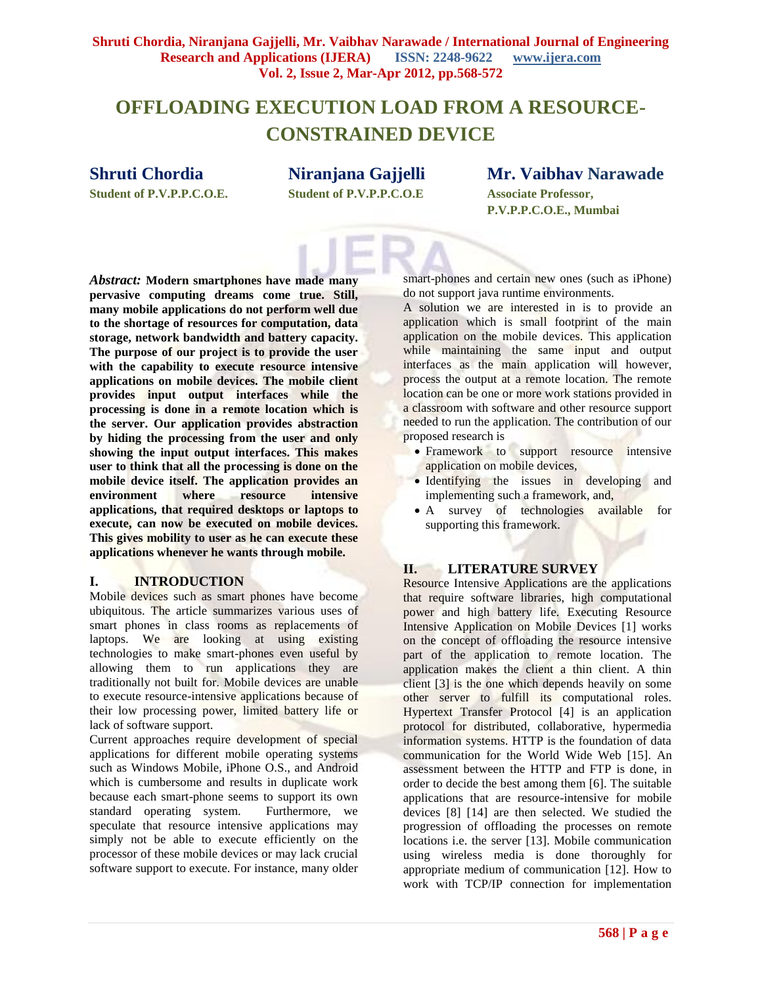## **OFFLOADING EXECUTION LOAD FROM A RESOURCE-CONSTRAINED DEVICE**

## **Shruti Chordia**

**Student of P.V.P.P.C.O.E.**

**Niranjana Gajjelli Student of P.V.P.P.C.O.E**

# **Mr. Vaibhav Narawade**

**Associate Professor, P.V.P.P.C.O.E., Mumbai**

*Abstract:* **Modern smartphones have made many pervasive computing dreams come true. Still, many mobile applications do not perform well due to the shortage of resources for computation, data storage, network bandwidth and battery capacity. The purpose of our project is to provide the user with the capability to execute resource intensive applications on mobile devices. The mobile client provides input output interfaces while the processing is done in a remote location which is the server. Our application provides abstraction by hiding the processing from the user and only showing the input output interfaces. This makes user to think that all the processing is done on the mobile device itself. The application provides an environment where resource intensive applications, that required desktops or laptops to execute, can now be executed on mobile devices. This gives mobility to user as he can execute these applications whenever he wants through mobile.**

#### **I. INTRODUCTION**

Mobile devices such as smart phones have become ubiquitous. The article summarizes various uses of smart phones in class rooms as replacements of laptops. We are looking at using existing technologies to make smart-phones even useful by allowing them to run applications they are traditionally not built for. Mobile devices are unable to execute resource-intensive applications because of their low processing power, limited battery life or lack of software support.

Current approaches require development of special applications for different mobile operating systems such as Windows Mobile, iPhone O.S., and Android which is cumbersome and results in duplicate work because each smart-phone seems to support its own standard operating system. Furthermore, we speculate that resource intensive applications may simply not be able to execute efficiently on the processor of these mobile devices or may lack crucial software support to execute. For instance, many older

smart-phones and certain new ones (such as iPhone) do not support java runtime environments.

A solution we are interested in is to provide an application which is small footprint of the main application on the mobile devices. This application while maintaining the same input and output interfaces as the main application will however, process the output at a remote location. The remote location can be one or more work stations provided in a classroom with software and other resource support needed to run the application. The contribution of our proposed research is

- Framework to support resource intensive application on mobile devices,
- Identifying the issues in developing and implementing such a framework, and,
- A survey of technologies available for supporting this framework.

## **II. LITERATURE SURVEY**

Resource Intensive Applications are the applications that require software libraries, high computational power and high battery life. Executing Resource Intensive Application on Mobile Devices [1] works on the concept of offloading the resource intensive part of the application to remote location. The application makes the client a thin client. A thin client [3] is the one which depends heavily on some other server to fulfill its computational roles. Hypertext Transfer Protocol [4] is an application protocol for distributed, collaborative, hypermedia information systems. HTTP is the foundation of data communication for the World Wide Web [15]. An assessment between the HTTP and FTP is done, in order to decide the best among them [6]. The suitable applications that are resource-intensive for mobile devices [8] [14] are then selected. We studied the progression of offloading the processes on remote locations i.e. the server [13]. Mobile communication using wireless media is done thoroughly for appropriate medium of communication [12]. How to work with TCP/IP connection for implementation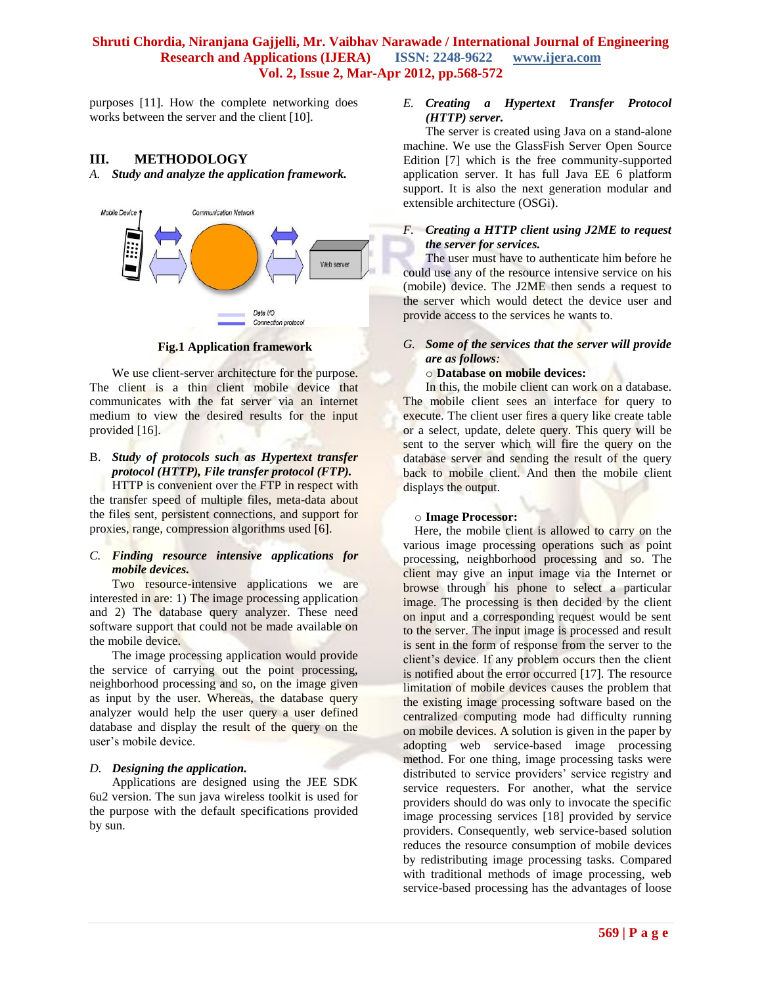purposes [11]. How the complete networking does works between the server and the client [10].

#### **III. METHODOLOGY**

*A. Study and analyze the application framework.*



**Fig.1 Application framework**

We use client-server architecture for the purpose. The client is a thin client mobile device that communicates with the fat server via an internet medium to view the desired results for the input provided [16].

#### B. *Study of protocols such as Hypertext transfer protocol (HTTP), File transfer protocol (FTP).*

HTTP is convenient over the FTP in respect with the transfer speed of multiple files, meta-data about the files sent, persistent connections, and support for proxies, range, compression algorithms used [6].

#### *C. Finding resource intensive applications for mobile devices.*

Two resource-intensive applications we are interested in are: 1) The image processing application and 2) The database query analyzer. These need software support that could not be made available on the mobile device.

The image processing application would provide the service of carrying out the point processing, neighborhood processing and so, on the image given as input by the user. Whereas, the database query analyzer would help the user query a user defined database and display the result of the query on the user's mobile device.

#### *D. Designing the application.*

Applications are designed using the JEE SDK 6u2 version. The sun java wireless toolkit is used for the purpose with the default specifications provided by sun.

#### *E. Creating a Hypertext Transfer Protocol (HTTP) server.*

The server is created using Java on a stand-alone machine. We use the GlassFish Server Open Source Edition [7] which is the free community-supported application server. It has full Java EE 6 platform support. It is also the next generation modular and extensible architecture (OSGi).

#### *F. Creating a HTTP client using J2ME to request the server for services.*

The user must have to authenticate him before he could use any of the resource intensive service on his (mobile) device. The J2ME then sends a request to the server which would detect the device user and provide access to the services he wants to.

#### *G. Some of the services that the server will provide are as follows:*

#### o **Database on mobile devices:**

In this, the mobile client can work on a database. The mobile client sees an interface for query to execute. The client user fires a query like create table or a select, update, delete query. This query will be sent to the server which will fire the query on the database server and sending the result of the query back to mobile client. And then the mobile client displays the output.

#### o **Image Processor:**

Here, the mobile client is allowed to carry on the various image processing operations such as point processing, neighborhood processing and so. The client may give an input image via the Internet or browse through his phone to select a particular image. The processing is then decided by the client on input and a corresponding request would be sent to the server. The input image is processed and result is sent in the form of response from the server to the client's device. If any problem occurs then the client is notified about the error occurred [17]. The resource limitation of mobile devices causes the problem that the existing image processing software based on the centralized computing mode had difficulty running on mobile devices. A solution is given in the paper by adopting web service-based image processing method. For one thing, image processing tasks were distributed to service providers' service registry and service requesters. For another, what the service providers should do was only to invocate the specific image processing services [18] provided by service providers. Consequently, web service-based solution reduces the resource consumption of mobile devices by redistributing image processing tasks. Compared with traditional methods of image processing, web service-based processing has the advantages of loose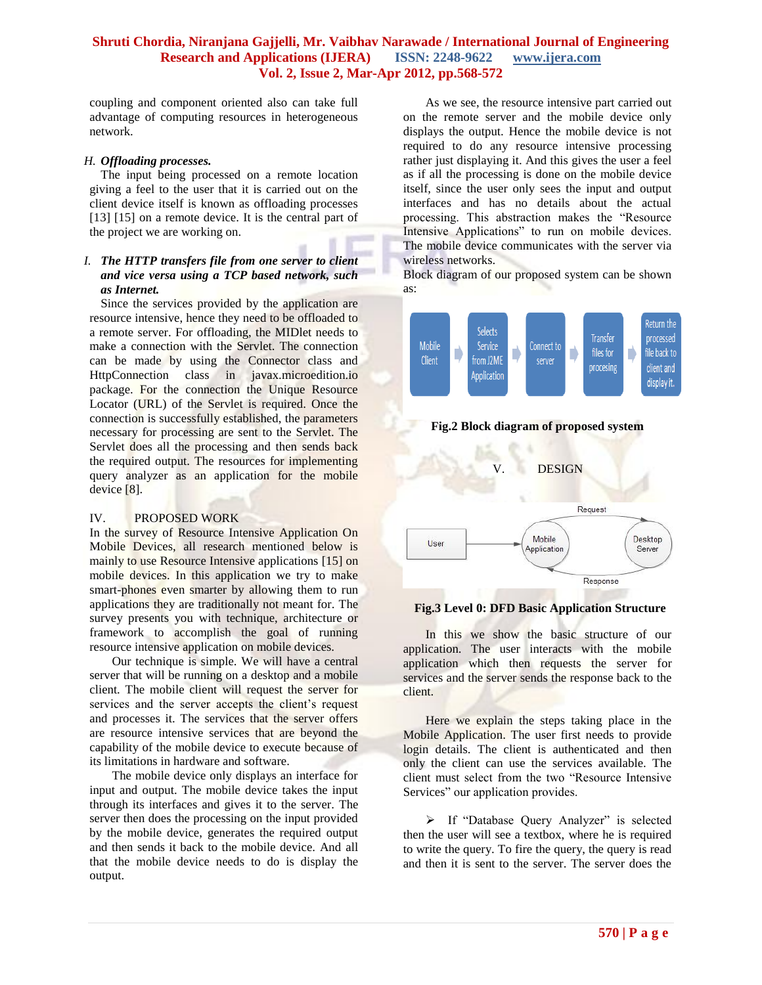coupling and component oriented also can take full advantage of computing resources in heterogeneous network.

#### *H. Offloading processes.*

The input being processed on a remote location giving a feel to the user that it is carried out on the client device itself is known as offloading processes [13] [15] on a remote device. It is the central part of the project we are working on.

#### *I. The HTTP transfers file from one server to client and vice versa using a TCP based network, such as Internet.*

Since the services provided by the application are resource intensive, hence they need to be offloaded to a remote server. For offloading, the MIDlet needs to make a connection with the Servlet. The connection can be made by using the Connector class and HttpConnection class in javax.microedition.io package. For the connection the Unique Resource Locator (URL) of the Servlet is required. Once the connection is successfully established, the parameters necessary for processing are sent to the Servlet. The Servlet does all the processing and then sends back the required output. The resources for implementing query analyzer as an application for the mobile device [8].

#### IV. PROPOSED WORK

In the survey of Resource Intensive Application On Mobile Devices, all research mentioned below is mainly to use Resource Intensive applications [15] on mobile devices. In this application we try to make smart-phones even smarter by allowing them to run applications they are traditionally not meant for. The survey presents you with technique, architecture or framework to accomplish the goal of running resource intensive application on mobile devices.

Our technique is simple. We will have a central server that will be running on a desktop and a mobile client. The mobile client will request the server for services and the server accepts the client's request and processes it. The services that the server offers are resource intensive services that are beyond the capability of the mobile device to execute because of its limitations in hardware and software.

The mobile device only displays an interface for input and output. The mobile device takes the input through its interfaces and gives it to the server. The server then does the processing on the input provided by the mobile device, generates the required output and then sends it back to the mobile device. And all that the mobile device needs to do is display the output.

As we see, the resource intensive part carried out on the remote server and the mobile device only displays the output. Hence the mobile device is not required to do any resource intensive processing rather just displaying it. And this gives the user a feel as if all the processing is done on the mobile device itself, since the user only sees the input and output interfaces and has no details about the actual processing. This abstraction makes the "Resource Intensive Applications" to run on mobile devices. The mobile device communicates with the server via wireless networks.

Block diagram of our proposed system can be shown as:



#### **Fig.2 Block diagram of proposed system**



#### **Fig.3 Level 0: DFD Basic Application Structure**

In this we show the basic structure of our application. The user interacts with the mobile application which then requests the server for services and the server sends the response back to the client.

Here we explain the steps taking place in the Mobile Application. The user first needs to provide login details. The client is authenticated and then only the client can use the services available. The client must select from the two "Resource Intensive Services" our application provides.

> If "Database Query Analyzer" is selected then the user will see a textbox, where he is required to write the query. To fire the query, the query is read and then it is sent to the server. The server does the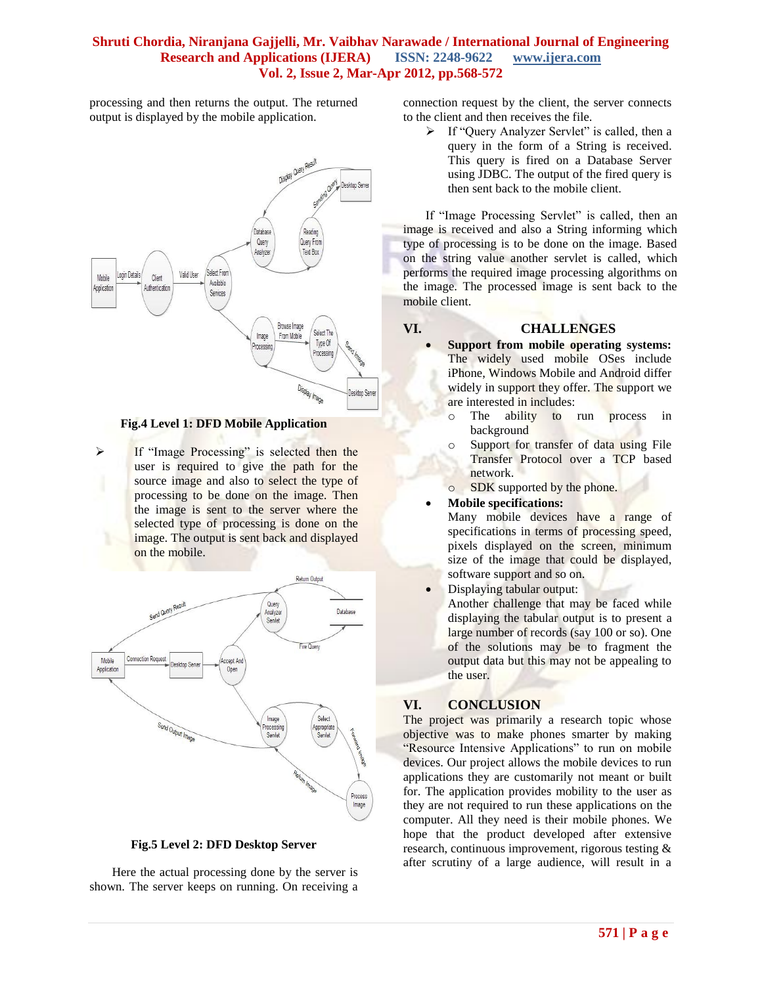processing and then returns the output. The returned output is displayed by the mobile application.



**Fig.4 Level 1: DFD Mobile Application**

 If "Image Processing" is selected then the user is required to give the path for the source image and also to select the type of processing to be done on the image. Then the image is sent to the server where the selected type of processing is done on the image. The output is sent back and displayed on the mobile.



**Fig.5 Level 2: DFD Desktop Server**

Here the actual processing done by the server is shown. The server keeps on running. On receiving a connection request by the client, the server connects to the client and then receives the file.

 $\triangleright$  If "Ouery Analyzer Servlet" is called, then a query in the form of a String is received. This query is fired on a Database Server using JDBC. The output of the fired query is then sent back to the mobile client.

If "Image Processing Servlet" is called, then an image is received and also a String informing which type of processing is to be done on the image. Based on the string value another servlet is called, which performs the required image processing algorithms on the image. The processed image is sent back to the mobile client.

## **VI. CHALLENGES**

 **Support from mobile operating systems:** The widely used mobile OSes include iPhone, Windows Mobile and Android differ widely in support they offer. The support we are interested in includes:

- o The ability to run process in background
- o Support for transfer of data using File Transfer Protocol over a TCP based network.
- o SDK supported by the phone.

**Mobile specifications:**

Many mobile devices have a range of specifications in terms of processing speed, pixels displayed on the screen, minimum size of the image that could be displayed, software support and so on.

Displaying tabular output:

Another challenge that may be faced while displaying the tabular output is to present a large number of records (say 100 or so). One of the solutions may be to fragment the output data but this may not be appealing to the user.

## **VI. CONCLUSION**

The project was primarily a research topic whose objective was to make phones smarter by making "Resource Intensive Applications" to run on mobile devices. Our project allows the mobile devices to run applications they are customarily not meant or built for. The application provides mobility to the user as they are not required to run these applications on the computer. All they need is their mobile phones. We hope that the product developed after extensive research, continuous improvement, rigorous testing & after scrutiny of a large audience, will result in a